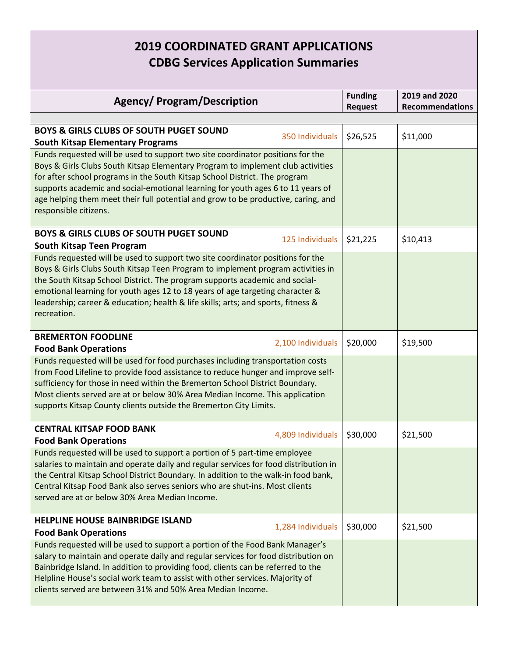## **2019 COORDINATED GRANT APPLICATIONS CDBG Services Application Summaries**

| <b>Agency/ Program/Description</b>                                                                                                                                                                                                                                                                                                                                                                                                                                                          |                | 2019 and 2020          |
|---------------------------------------------------------------------------------------------------------------------------------------------------------------------------------------------------------------------------------------------------------------------------------------------------------------------------------------------------------------------------------------------------------------------------------------------------------------------------------------------|----------------|------------------------|
|                                                                                                                                                                                                                                                                                                                                                                                                                                                                                             | <b>Request</b> | <b>Recommendations</b> |
| <b>BOYS &amp; GIRLS CLUBS OF SOUTH PUGET SOUND</b><br>350 Individuals                                                                                                                                                                                                                                                                                                                                                                                                                       | \$26,525       | \$11,000               |
| <b>South Kitsap Elementary Programs</b><br>Funds requested will be used to support two site coordinator positions for the<br>Boys & Girls Clubs South Kitsap Elementary Program to implement club activities<br>for after school programs in the South Kitsap School District. The program<br>supports academic and social-emotional learning for youth ages 6 to 11 years of<br>age helping them meet their full potential and grow to be productive, caring, and<br>responsible citizens. |                |                        |
| <b>BOYS &amp; GIRLS CLUBS OF SOUTH PUGET SOUND</b><br>125 Individuals<br>South Kitsap Teen Program                                                                                                                                                                                                                                                                                                                                                                                          | \$21,225       | \$10,413               |
| Funds requested will be used to support two site coordinator positions for the<br>Boys & Girls Clubs South Kitsap Teen Program to implement program activities in<br>the South Kitsap School District. The program supports academic and social-<br>emotional learning for youth ages 12 to 18 years of age targeting character &<br>leadership; career & education; health & life skills; arts; and sports, fitness &<br>recreation.                                                       |                |                        |
| <b>BREMERTON FOODLINE</b><br>2,100 Individuals<br><b>Food Bank Operations</b>                                                                                                                                                                                                                                                                                                                                                                                                               | \$20,000       | \$19,500               |
| Funds requested will be used for food purchases including transportation costs<br>from Food Lifeline to provide food assistance to reduce hunger and improve self-<br>sufficiency for those in need within the Bremerton School District Boundary.<br>Most clients served are at or below 30% Area Median Income. This application<br>supports Kitsap County clients outside the Bremerton City Limits.                                                                                     |                |                        |
| <b>CENTRAL KITSAP FOOD BANK</b><br>4,809 Individuals<br><b>Food Bank Operations</b>                                                                                                                                                                                                                                                                                                                                                                                                         | \$30,000       | \$21,500               |
| Funds requested will be used to support a portion of 5 part-time employee<br>salaries to maintain and operate daily and regular services for food distribution in<br>the Central Kitsap School District Boundary. In addition to the walk-in food bank,<br>Central Kitsap Food Bank also serves seniors who are shut-ins. Most clients<br>served are at or below 30% Area Median Income.                                                                                                    |                |                        |
| <b>HELPLINE HOUSE BAINBRIDGE ISLAND</b><br>1,284 Individuals<br><b>Food Bank Operations</b>                                                                                                                                                                                                                                                                                                                                                                                                 | \$30,000       | \$21,500               |
| Funds requested will be used to support a portion of the Food Bank Manager's<br>salary to maintain and operate daily and regular services for food distribution on<br>Bainbridge Island. In addition to providing food, clients can be referred to the<br>Helpline House's social work team to assist with other services. Majority of<br>clients served are between 31% and 50% Area Median Income.                                                                                        |                |                        |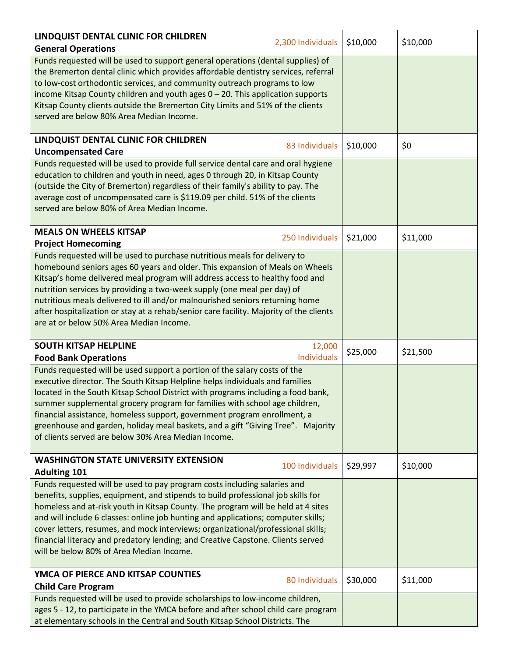| LINDQUIST DENTAL CLINIC FOR CHILDREN                                                                                                                                                                                                                                                                                                                                                                                                                                                                                                                     |                    |          |          |
|----------------------------------------------------------------------------------------------------------------------------------------------------------------------------------------------------------------------------------------------------------------------------------------------------------------------------------------------------------------------------------------------------------------------------------------------------------------------------------------------------------------------------------------------------------|--------------------|----------|----------|
| <b>General Operations</b>                                                                                                                                                                                                                                                                                                                                                                                                                                                                                                                                | 2,300 Individuals  | \$10,000 | \$10,000 |
| Funds requested will be used to support general operations (dental supplies) of<br>the Bremerton dental clinic which provides affordable dentistry services, referral<br>to low-cost orthodontic services, and community outreach programs to low<br>income Kitsap County children and youth ages 0 - 20. This application supports<br>Kitsap County clients outside the Bremerton City Limits and 51% of the clients<br>served are below 80% Area Median Income.                                                                                        |                    |          |          |
| LINDQUIST DENTAL CLINIC FOR CHILDREN                                                                                                                                                                                                                                                                                                                                                                                                                                                                                                                     |                    |          |          |
| <b>Uncompensated Care</b>                                                                                                                                                                                                                                                                                                                                                                                                                                                                                                                                | 83 Individuals     | \$10,000 | \$0      |
| Funds requested will be used to provide full service dental care and oral hygiene<br>education to children and youth in need, ages 0 through 20, in Kitsap County<br>(outside the City of Bremerton) regardless of their family's ability to pay. The<br>average cost of uncompensated care is \$119.09 per child. 51% of the clients<br>served are below 80% of Area Median Income.                                                                                                                                                                     |                    |          |          |
| <b>MEALS ON WHEELS KITSAP</b><br><b>Project Homecoming</b>                                                                                                                                                                                                                                                                                                                                                                                                                                                                                               | 250 Individuals    | \$21,000 | \$11,000 |
| Funds requested will be used to purchase nutritious meals for delivery to<br>homebound seniors ages 60 years and older. This expansion of Meals on Wheels<br>Kitsap's home delivered meal program will address access to healthy food and<br>nutrition services by providing a two-week supply (one meal per day) of<br>nutritious meals delivered to ill and/or malnourished seniors returning home<br>after hospitalization or stay at a rehab/senior care facility. Majority of the clients<br>are at or below 50% Area Median Income.                |                    |          |          |
| <b>SOUTH KITSAP HELPLINE</b>                                                                                                                                                                                                                                                                                                                                                                                                                                                                                                                             | 12,000             | \$25,000 | \$21,500 |
| <b>Food Bank Operations</b>                                                                                                                                                                                                                                                                                                                                                                                                                                                                                                                              | <b>Individuals</b> |          |          |
| Funds requested will be used support a portion of the salary costs of the<br>executive director. The South Kitsap Helpline helps individuals and families<br>located in the South Kitsap School District with programs including a food bank,<br>summer supplemental grocery program for families with school age children,<br>financial assistance, homeless support, government program enrollment, a<br>greenhouse and garden, holiday meal baskets, and a gift "Giving Tree". Majority<br>of clients served are below 30% Area Median Income.        |                    |          |          |
| <b>WASHINGTON STATE UNIVERSITY EXTENSION</b><br><b>Adulting 101</b>                                                                                                                                                                                                                                                                                                                                                                                                                                                                                      | 100 Individuals    | \$29,997 | \$10,000 |
| Funds requested will be used to pay program costs including salaries and<br>benefits, supplies, equipment, and stipends to build professional job skills for<br>homeless and at-risk youth in Kitsap County. The program will be held at 4 sites<br>and will include 6 classes: online job hunting and applications; computer skills;<br>cover letters, resumes, and mock interviews; organizational/professional skills;<br>financial literacy and predatory lending; and Creative Capstone. Clients served<br>will be below 80% of Area Median Income. |                    |          |          |
| YMCA OF PIERCE AND KITSAP COUNTIES                                                                                                                                                                                                                                                                                                                                                                                                                                                                                                                       | 80 Individuals     | \$30,000 | \$11,000 |
| <b>Child Care Program</b>                                                                                                                                                                                                                                                                                                                                                                                                                                                                                                                                |                    |          |          |
| Funds requested will be used to provide scholarships to low-income children,<br>ages 5 - 12, to participate in the YMCA before and after school child care program<br>at elementary schools in the Central and South Kitsap School Districts. The                                                                                                                                                                                                                                                                                                        |                    |          |          |